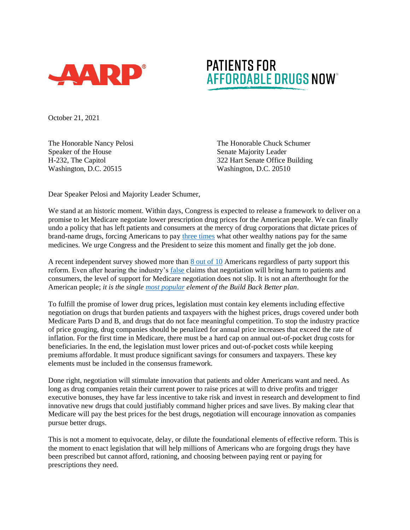

## **PATIENTS FOR** AFFORDABLE DRUGS NOW

October 21, 2021

The Honorable Nancy Pelosi Speaker of the House H-232, The Capitol Washington, D.C. 20515

The Honorable Chuck Schumer Senate Majority Leader 322 Hart Senate Office Building Washington, D.C. 20510

Dear Speaker Pelosi and Majority Leader Schumer,

We stand at an historic moment. Within days, Congress is expected to release a framework to deliver on a promise to let Medicare negotiate lower prescription drug prices for the American people. We can finally undo a policy that has left patients and consumers at the mercy of drug corporations that dictate prices of brand-name drugs, forcing Americans to pay [three times](https://www.rand.org/pubs/research_reports/RR2956.html) what other wealthy nations pay for the same medicines. We urge Congress and the President to seize this moment and finally get the job done.

A recent independent survey showed more than [8 out of 10](https://www.kff.org/health-costs/press-release/large-majorities-across-parties-favor-allowing-the-federal-government-to-negotiate-drug-prices-even-after-hearing-common-arguments-about-it/) Americans regardless of party support this reform. Even after hearing the industry's [false](https://www.factcheck.org/2021/10/phrma-ad-misleads-on-medicare-drug-negotiation-legislation/) claims that negotiation will bring harm to patients and consumers, the level of support for Medicare negotiation does not slip. It is not an afterthought for the American people; *it is the single [most popular](https://navigatorresearch.org/wp-content/uploads/2021/09/Navigator-Update-09.08.2021.pdf) element of the Build Back Better plan*.

To fulfill the promise of lower drug prices, legislation must contain key elements including effective negotiation on drugs that burden patients and taxpayers with the highest prices, drugs covered under both Medicare Parts D and B, and drugs that do not face meaningful competition. To stop the industry practice of price gouging, drug companies should be penalized for annual price increases that exceed the rate of inflation. For the first time in Medicare, there must be a hard cap on annual out-of-pocket drug costs for beneficiaries. In the end, the legislation must lower prices and out-of-pocket costs while keeping premiums affordable. It must produce significant savings for consumers and taxpayers. These key elements must be included in the consensus framework.

Done right, negotiation will stimulate innovation that patients and older Americans want and need. As long as drug companies retain their current power to raise prices at will to drive profits and trigger executive bonuses, they have far less incentive to take risk and invest in research and development to find innovative new drugs that could justifiably command higher prices and save lives. By making clear that Medicare will pay the best prices for the best drugs, negotiation will encourage innovation as companies pursue better drugs.

This is not a moment to equivocate, delay, or dilute the foundational elements of effective reform. This is the moment to enact legislation that will help millions of Americans who are forgoing drugs they have been prescribed but cannot afford, rationing, and choosing between paying rent or paying for prescriptions they need.